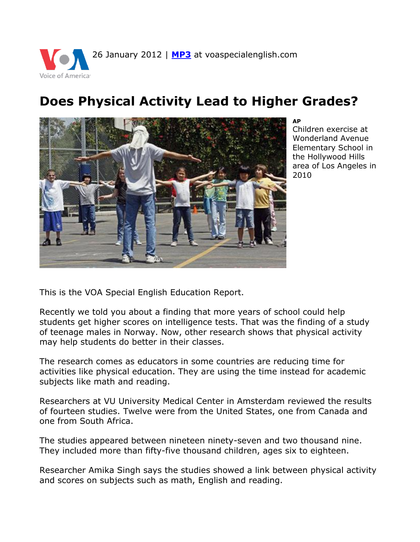

## **Does Physical Activity Lead to Higher Grades?**



## **AP**

Children exercise at Wonderland Avenue Elementary School in the Hollywood Hills area of Los Angeles in 2010

This is the VOA Special English Education Report.

Recently we told you about a finding that more years of school could help students get higher scores on intelligence tests. That was the finding of a study of teenage males in Norway. Now, other research shows that physical activity may help students do better in their classes.

The research comes as educators in some countries are reducing time for activities like physical education. They are using the time instead for academic subjects like math and reading.

Researchers at VU University Medical Center in Amsterdam reviewed the results of fourteen studies. Twelve were from the United States, one from Canada and one from South Africa.

The studies appeared between nineteen ninety-seven and two thousand nine. They included more than fifty-five thousand children, ages six to eighteen.

Researcher Amika Singh says the studies showed a link between physical activity and scores on subjects such as math, English and reading.